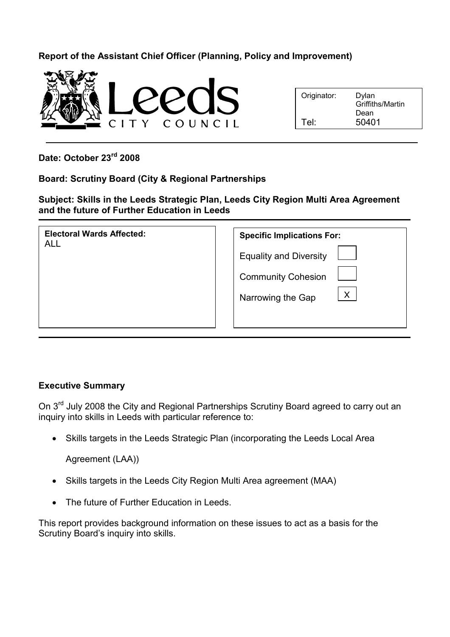# Report of the Assistant Chief Officer (Planning, Policy and Improvement)



| Originator: | Dylan<br>Griffiths/Martin |
|-------------|---------------------------|
|             | Dean                      |
| Tel:        | 50401                     |

Date: October 23rd 2008

## Board: Scrutiny Board (City & Regional Partnerships

Subject: Skills in the Leeds Strategic Plan, Leeds City Region Multi Area Agreement and the future of Further Education in Leeds

| <b>Electoral Wards Affected:</b><br><b>ALL</b> | <b>Specific Implications For:</b> |
|------------------------------------------------|-----------------------------------|
|                                                | <b>Equality and Diversity</b>     |
|                                                | <b>Community Cohesion</b>         |
|                                                | $\mathsf{X}$<br>Narrowing the Gap |
|                                                |                                   |

## Executive Summary

On 3<sup>rd</sup> July 2008 the City and Regional Partnerships Scrutiny Board agreed to carry out an inquiry into skills in Leeds with particular reference to:

• Skills targets in the Leeds Strategic Plan (incorporating the Leeds Local Area

Agreement (LAA))

- Skills targets in the Leeds City Region Multi Area agreement (MAA)
- The future of Further Education in Leeds.

This report provides background information on these issues to act as a basis for the Scrutiny Board's inquiry into skills.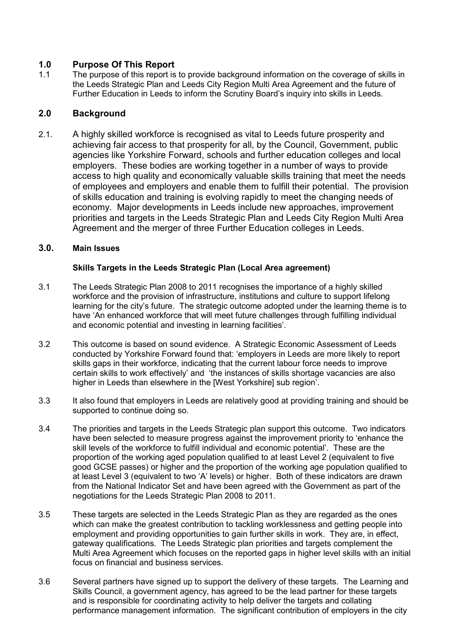## 1.0 Purpose Of This Report

1.1 The purpose of this report is to provide background information on the coverage of skills in the Leeds Strategic Plan and Leeds City Region Multi Area Agreement and the future of Further Education in Leeds to inform the Scrutiny Board's inquiry into skills in Leeds.

## 2.0 Background

2.1. A highly skilled workforce is recognised as vital to Leeds future prosperity and achieving fair access to that prosperity for all, by the Council, Government, public agencies like Yorkshire Forward, schools and further education colleges and local employers. These bodies are working together in a number of ways to provide access to high quality and economically valuable skills training that meet the needs of employees and employers and enable them to fulfill their potential. The provision of skills education and training is evolving rapidly to meet the changing needs of economy. Major developments in Leeds include new approaches, improvement priorities and targets in the Leeds Strategic Plan and Leeds City Region Multi Area Agreement and the merger of three Further Education colleges in Leeds.

#### 3.0. Main Issues

#### Skills Targets in the Leeds Strategic Plan (Local Area agreement)

- 3.1 The Leeds Strategic Plan 2008 to 2011 recognises the importance of a highly skilled workforce and the provision of infrastructure, institutions and culture to support lifelong learning for the city's future. The strategic outcome adopted under the learning theme is to have 'An enhanced workforce that will meet future challenges through fulfilling individual and economic potential and investing in learning facilities'.
- 3.2 This outcome is based on sound evidence. A Strategic Economic Assessment of Leeds conducted by Yorkshire Forward found that: 'employers in Leeds are more likely to report skills gaps in their workforce, indicating that the current labour force needs to improve certain skills to work effectively' and 'the instances of skills shortage vacancies are also higher in Leeds than elsewhere in the [West Yorkshire] sub region'.
- 3.3 It also found that employers in Leeds are relatively good at providing training and should be supported to continue doing so.
- 3.4 The priorities and targets in the Leeds Strategic plan support this outcome. Two indicators have been selected to measure progress against the improvement priority to 'enhance the skill levels of the workforce to fulfill individual and economic potential'. These are the proportion of the working aged population qualified to at least Level 2 (equivalent to five good GCSE passes) or higher and the proportion of the working age population qualified to at least Level 3 (equivalent to two 'A' levels) or higher. Both of these indicators are drawn from the National Indicator Set and have been agreed with the Government as part of the negotiations for the Leeds Strategic Plan 2008 to 2011.
- 3.5 These targets are selected in the Leeds Strategic Plan as they are regarded as the ones which can make the greatest contribution to tackling worklessness and getting people into employment and providing opportunities to gain further skills in work. They are, in effect, gateway qualifications. The Leeds Strategic plan priorities and targets complement the Multi Area Agreement which focuses on the reported gaps in higher level skills with an initial focus on financial and business services.
- 3.6 Several partners have signed up to support the delivery of these targets. The Learning and Skills Council, a government agency, has agreed to be the lead partner for these targets and is responsible for coordinating activity to help deliver the targets and collating performance management information. The significant contribution of employers in the city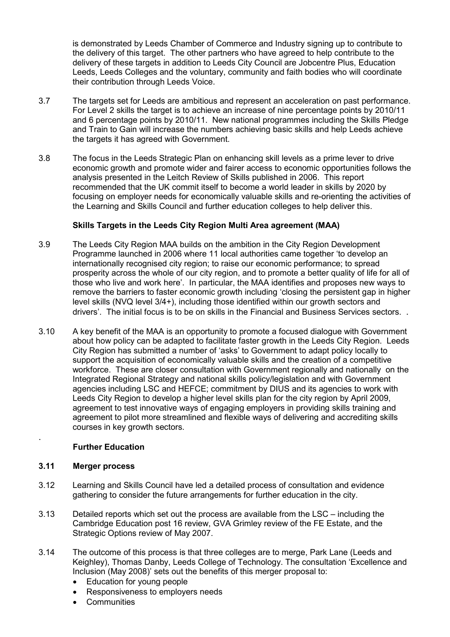is demonstrated by Leeds Chamber of Commerce and Industry signing up to contribute to the delivery of this target. The other partners who have agreed to help contribute to the delivery of these targets in addition to Leeds City Council are Jobcentre Plus, Education Leeds, Leeds Colleges and the voluntary, community and faith bodies who will coordinate their contribution through Leeds Voice.

- 3.7 The targets set for Leeds are ambitious and represent an acceleration on past performance. For Level 2 skills the target is to achieve an increase of nine percentage points by 2010/11 and 6 percentage points by 2010/11. New national programmes including the Skills Pledge and Train to Gain will increase the numbers achieving basic skills and help Leeds achieve the targets it has agreed with Government.
- 3.8 The focus in the Leeds Strategic Plan on enhancing skill levels as a prime lever to drive economic growth and promote wider and fairer access to economic opportunities follows the analysis presented in the Leitch Review of Skills published in 2006. This report recommended that the UK commit itself to become a world leader in skills by 2020 by focusing on employer needs for economically valuable skills and re-orienting the activities of the Learning and Skills Council and further education colleges to help deliver this.

## Skills Targets in the Leeds City Region Multi Area agreement (MAA)

- 3.9 The Leeds City Region MAA builds on the ambition in the City Region Development Programme launched in 2006 where 11 local authorities came together 'to develop an internationally recognised city region; to raise our economic performance; to spread prosperity across the whole of our city region, and to promote a better quality of life for all of those who live and work here'. In particular, the MAA identifies and proposes new ways to remove the barriers to faster economic growth including 'closing the persistent gap in higher level skills (NVQ level 3/4+), including those identified within our growth sectors and drivers'. The initial focus is to be on skills in the Financial and Business Services sectors. .
- 3.10 A key benefit of the MAA is an opportunity to promote a focused dialogue with Government about how policy can be adapted to facilitate faster growth in the Leeds City Region. Leeds City Region has submitted a number of 'asks' to Government to adapt policy locally to support the acquisition of economically valuable skills and the creation of a competitive workforce. These are closer consultation with Government regionally and nationally on the Integrated Regional Strategy and national skills policy/legislation and with Government agencies including LSC and HEFCE; commitment by DIUS and its agencies to work with Leeds City Region to develop a higher level skills plan for the city region by April 2009, agreement to test innovative ways of engaging employers in providing skills training and agreement to pilot more streamlined and flexible ways of delivering and accrediting skills courses in key growth sectors.

## Further Education

## 3.11 Merger process

.

- 3.12 Learning and Skills Council have led a detailed process of consultation and evidence gathering to consider the future arrangements for further education in the city.
- 3.13 Detailed reports which set out the process are available from the LSC including the Cambridge Education post 16 review, GVA Grimley review of the FE Estate, and the Strategic Options review of May 2007.
- 3.14 The outcome of this process is that three colleges are to merge, Park Lane (Leeds and Keighley), Thomas Danby, Leeds College of Technology. The consultation 'Excellence and Inclusion (May 2008)' sets out the benefits of this merger proposal to:
	- Education for young people
	- Responsiveness to employers needs
	- **Communities**